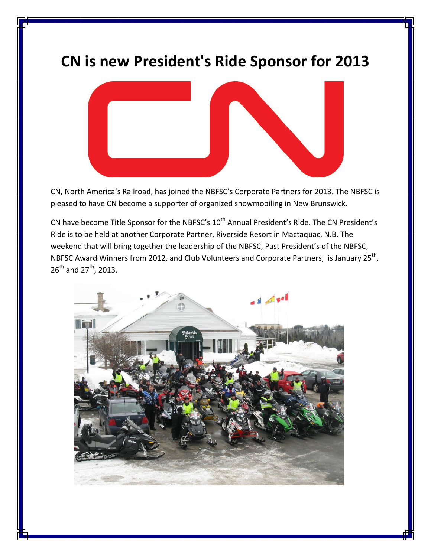## CN is new President's Ride Sponsor for 2013



CN, North America's Railroad, has joined the NBFSC's Corporate Partners for 2013. The NBFSC is pleased to have CN become a supporter of organized snowmobiling in New Brunswick.

CN have become Title Sponsor for the NBFSC's 10<sup>th</sup> Annual President's Ride. The CN President's Ride is to be held at another Corporate Partner, Riverside Resort in Mactaquac, N.B. The weekend that will bring together the leadership of the NBFSC, Past President's of the NBFSC, NBFSC Award Winners from 2012, and Club Volunteers and Corporate Partners, is January 25<sup>th</sup>,  $26^{th}$  and  $27^{th}$ , 2013.